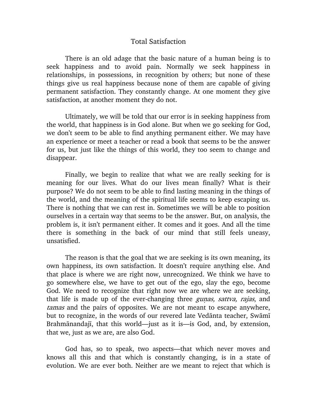## Total Satisfaction

There is an old adage that the basic nature of a human being is to seek happiness and to avoid pain. Normally we seek happiness in relationships, in possessions, in recognition by others; but none of these things give us real happiness because none of them are capable of giving permanent satisfaction. They constantly change. At one moment they give satisfaction, at another moment they do not.

Ultimately, we will be told that our error is in seeking happiness from the world, that happiness is in God alone. But when we go seeking for God, we don't seem to be able to find anything permanent either. We may have an experience or meet a teacher or read a book that seems to be the answer for us, but just like the things of this world, they too seem to change and disappear.

Finally, we begin to realize that what we are really seeking for is meaning for our lives. What do our lives mean finally? What is their purpose? We do not seem to be able to find lasting meaning in the things of the world, and the meaning of the spiritual life seems to keep escaping us. There is nothing that we can rest in. Sometimes we will be able to position ourselves in a certain way that seems to be the answer. But, on analysis, the problem is, it isn't permanent either. It comes and it goes. And all the time there is something in the back of our mind that still feels uneasy, unsatisfied.

The reason is that the goal that we are seeking is its own meaning, its own happiness, its own satisfaction. It doesn't require anything else. And that place is where we are right now, unrecognized. We think we have to go somewhere else, we have to get out of the ego, slay the ego, become God. We need to recognize that right now we are where we are seeking, that life is made up of the ever-changing three *gunas, sattva, rajas*, and tamas and the pairs of opposites. We are not meant to escape anywhere, but to recognize, in the words of our revered late Vedanta teacher, Swami Brahmānandajī, that this world—just as it is—is God, and, by extension, that we, just as we are, are also God.

God has, so to speak, two aspects—that which never moves and knows all this and that which is constantly changing, is in a state of evolution. We are ever both. Neither are we meant to reject that which is